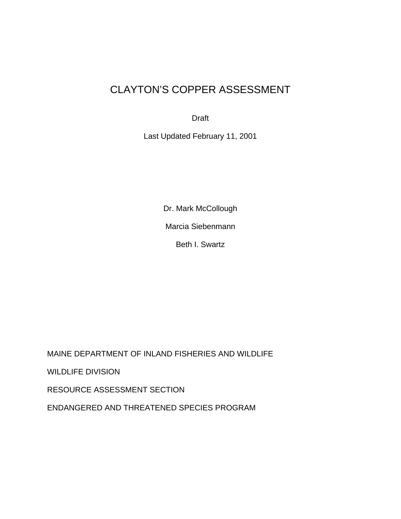# CLAYTON'S COPPER ASSESSMENT

Draft

Last Updated February 11, 2001

Dr. Mark McCollough Marcia Siebenmann Beth I. Swartz

MAINE DEPARTMENT OF INLAND FISHERIES AND WILDLIFE WILDLIFE DIVISION RESOURCE ASSESSMENT SECTION ENDANGERED AND THREATENED SPECIES PROGRAM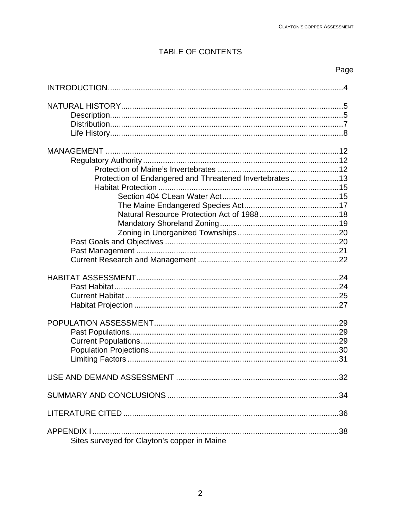# TABLE OF CONTENTS

# Page

| Protection of Endangered and Threatened Invertebrates13 |
|---------------------------------------------------------|
|                                                         |
| .31                                                     |
|                                                         |
|                                                         |
|                                                         |
| Sites surveyed for Clayton's copper in Maine            |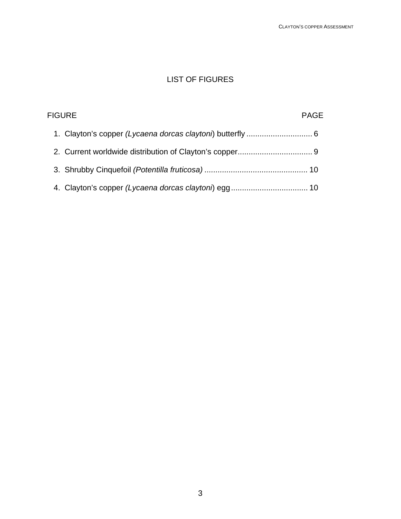# LIST OF FIGURES

| <b>FIGURE</b> | <b>PAGE</b> |
|---------------|-------------|
|               |             |
|               |             |
|               |             |
|               |             |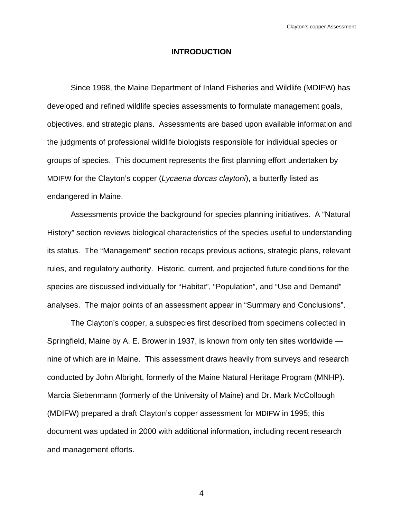# **INTRODUCTION**

 Since 1968, the Maine Department of Inland Fisheries and Wildlife (MDIFW) has developed and refined wildlife species assessments to formulate management goals, objectives, and strategic plans. Assessments are based upon available information and the judgments of professional wildlife biologists responsible for individual species or groups of species. This document represents the first planning effort undertaken by MDIFW for the Clayton's copper (*Lycaena dorcas claytoni*), a butterfly listed as endangered in Maine.

 Assessments provide the background for species planning initiatives. A "Natural History" section reviews biological characteristics of the species useful to understanding its status. The "Management" section recaps previous actions, strategic plans, relevant rules, and regulatory authority. Historic, current, and projected future conditions for the species are discussed individually for "Habitat", "Population", and "Use and Demand" analyses. The major points of an assessment appear in "Summary and Conclusions".

 The Clayton's copper, a subspecies first described from specimens collected in Springfield, Maine by A. E. Brower in 1937, is known from only ten sites worldwide nine of which are in Maine. This assessment draws heavily from surveys and research conducted by John Albright, formerly of the Maine Natural Heritage Program (MNHP). Marcia Siebenmann (formerly of the University of Maine) and Dr. Mark McCollough (MDIFW) prepared a draft Clayton's copper assessment for MDIFW in 1995; this document was updated in 2000 with additional information, including recent research and management efforts.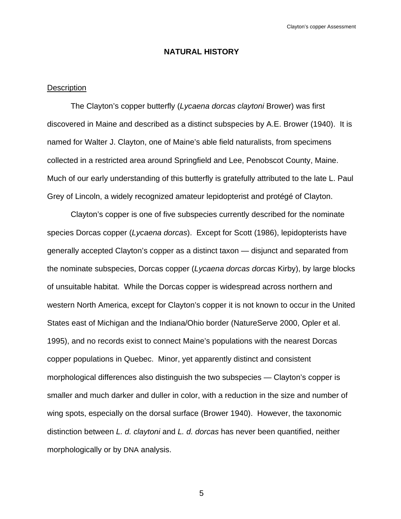# **NATURAL HISTORY**

### **Description**

 The Clayton's copper butterfly (*Lycaena dorcas claytoni* Brower) was first discovered in Maine and described as a distinct subspecies by A.E. Brower (1940). It is named for Walter J. Clayton, one of Maine's able field naturalists, from specimens collected in a restricted area around Springfield and Lee, Penobscot County, Maine. Much of our early understanding of this butterfly is gratefully attributed to the late L. Paul Grey of Lincoln, a widely recognized amateur lepidopterist and protégé of Clayton.

 Clayton's copper is one of five subspecies currently described for the nominate species Dorcas copper (*Lycaena dorcas*). Except for Scott (1986), lepidopterists have generally accepted Clayton's copper as a distinct taxon — disjunct and separated from the nominate subspecies, Dorcas copper (*Lycaena dorcas dorcas* Kirby), by large blocks of unsuitable habitat. While the Dorcas copper is widespread across northern and western North America, except for Clayton's copper it is not known to occur in the United States east of Michigan and the Indiana/Ohio border (NatureServe 2000, Opler et al. 1995), and no records exist to connect Maine's populations with the nearest Dorcas copper populations in Quebec. Minor, yet apparently distinct and consistent morphological differences also distinguish the two subspecies — Clayton's copper is smaller and much darker and duller in color, with a reduction in the size and number of wing spots, especially on the dorsal surface (Brower 1940). However, the taxonomic distinction between *L. d. claytoni* and *L. d. dorcas* has never been quantified, neither morphologically or by DNA analysis.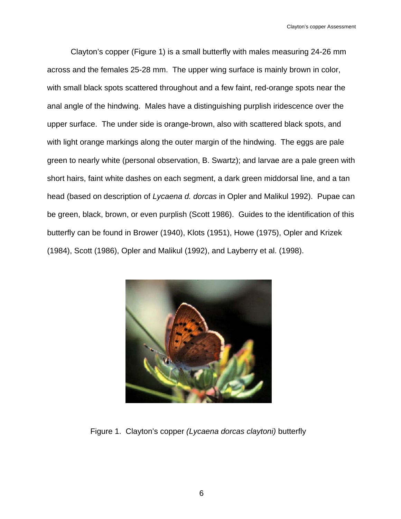Clayton's copper (Figure 1) is a small butterfly with males measuring 24-26 mm across and the females 25-28 mm. The upper wing surface is mainly brown in color, with small black spots scattered throughout and a few faint, red-orange spots near the anal angle of the hindwing. Males have a distinguishing purplish iridescence over the upper surface. The under side is orange-brown, also with scattered black spots, and with light orange markings along the outer margin of the hindwing. The eggs are pale green to nearly white (personal observation, B. Swartz); and larvae are a pale green with short hairs, faint white dashes on each segment, a dark green middorsal line, and a tan head (based on description of *Lycaena d. dorcas* in Opler and Malikul 1992). Pupae can be green, black, brown, or even purplish (Scott 1986). Guides to the identification of this butterfly can be found in Brower (1940), Klots (1951), Howe (1975), Opler and Krizek (1984), Scott (1986), Opler and Malikul (1992), and Layberry et al. (1998).



Figure 1. Clayton's copper *(Lycaena dorcas claytoni)* butterfly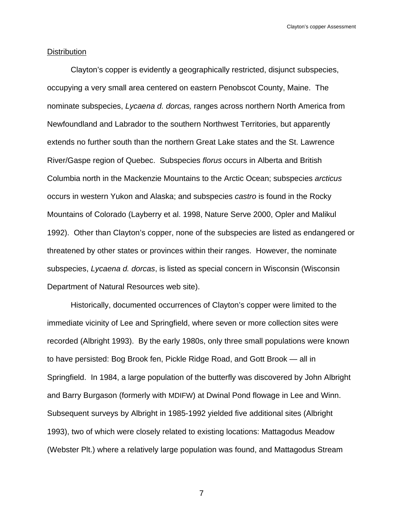#### **Distribution**

 Clayton's copper is evidently a geographically restricted, disjunct subspecies, occupying a very small area centered on eastern Penobscot County, Maine. The nominate subspecies, *Lycaena d. dorcas,* ranges across northern North America from Newfoundland and Labrador to the southern Northwest Territories, but apparently extends no further south than the northern Great Lake states and the St. Lawrence River/Gaspe region of Quebec. Subspecies *florus* occurs in Alberta and British Columbia north in the Mackenzie Mountains to the Arctic Ocean; subspecies *arcticus*  occurs in western Yukon and Alaska; and subspecies *castro* is found in the Rocky Mountains of Colorado (Layberry et al. 1998, Nature Serve 2000, Opler and Malikul 1992). Other than Clayton's copper, none of the subspecies are listed as endangered or threatened by other states or provinces within their ranges. However, the nominate subspecies, *Lycaena d. dorcas*, is listed as special concern in Wisconsin (Wisconsin Department of Natural Resources web site).

 Historically, documented occurrences of Clayton's copper were limited to the immediate vicinity of Lee and Springfield, where seven or more collection sites were recorded (Albright 1993). By the early 1980s, only three small populations were known to have persisted: Bog Brook fen, Pickle Ridge Road, and Gott Brook — all in Springfield. In 1984, a large population of the butterfly was discovered by John Albright and Barry Burgason (formerly with MDIFW) at Dwinal Pond flowage in Lee and Winn. Subsequent surveys by Albright in 1985-1992 yielded five additional sites (Albright 1993), two of which were closely related to existing locations: Mattagodus Meadow (Webster Plt.) where a relatively large population was found, and Mattagodus Stream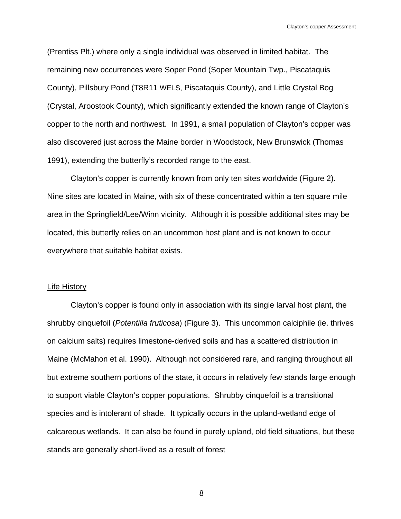(Prentiss Plt.) where only a single individual was observed in limited habitat. The remaining new occurrences were Soper Pond (Soper Mountain Twp., Piscataquis County), Pillsbury Pond (T8R11 WELS, Piscataquis County), and Little Crystal Bog (Crystal, Aroostook County), which significantly extended the known range of Clayton's copper to the north and northwest. In 1991, a small population of Clayton's copper was also discovered just across the Maine border in Woodstock, New Brunswick (Thomas 1991), extending the butterfly's recorded range to the east.

 Clayton's copper is currently known from only ten sites worldwide (Figure 2). Nine sites are located in Maine, with six of these concentrated within a ten square mile area in the Springfield/Lee/Winn vicinity. Although it is possible additional sites may be located, this butterfly relies on an uncommon host plant and is not known to occur everywhere that suitable habitat exists.

#### Life History

 Clayton's copper is found only in association with its single larval host plant, the shrubby cinquefoil (*Potentilla fruticosa*) (Figure 3). This uncommon calciphile (ie. thrives on calcium salts) requires limestone-derived soils and has a scattered distribution in Maine (McMahon et al. 1990). Although not considered rare, and ranging throughout all but extreme southern portions of the state, it occurs in relatively few stands large enough to support viable Clayton's copper populations. Shrubby cinquefoil is a transitional species and is intolerant of shade. It typically occurs in the upland-wetland edge of calcareous wetlands. It can also be found in purely upland, old field situations, but these stands are generally short-lived as a result of forest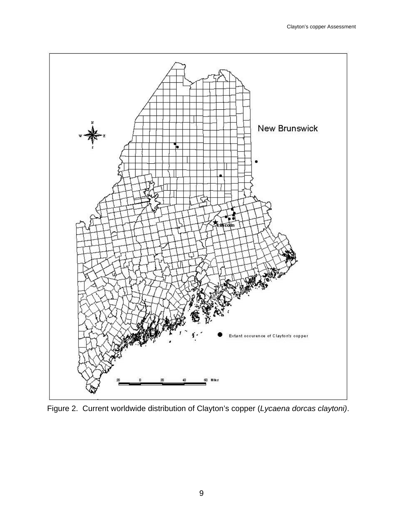

Figure 2. Current worldwide distribution of Clayton's copper (*Lycaena dorcas claytoni)*.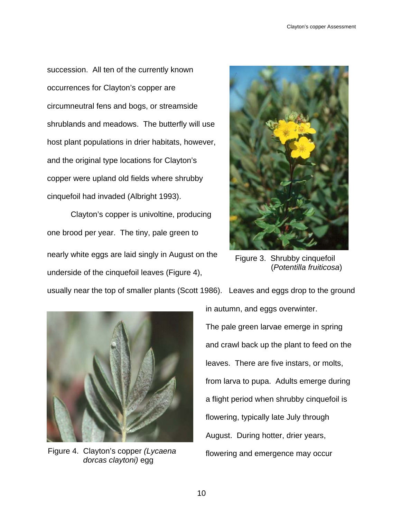succession. All ten of the currently known occurrences for Clayton's copper are circumneutral fens and bogs, or streamside shrublands and meadows. The butterfly will use host plant populations in drier habitats, however, and the original type locations for Clayton's copper were upland old fields where shrubby cinquefoil had invaded (Albright 1993).

 Clayton's copper is univoltine, producing one brood per year. The tiny, pale green to nearly white eggs are laid singly in August on the underside of the cinquefoil leaves (Figure 4),



 Figure 3. Shrubby cinquefoil (*Potentilla fruiticosa*)

usually near the top of smaller plants (Scott 1986). Leaves and eggs drop to the ground



*dorcas claytoni)* egg

in autumn, and eggs overwinter. The pale green larvae emerge in spring and crawl back up the plant to feed on the leaves. There are five instars, or molts, from larva to pupa. Adults emerge during a flight period when shrubby cinquefoil is flowering, typically late July through August. During hotter, drier years, Figure 4. Clayton's copper *(Lycaena* flowering and emergence may occur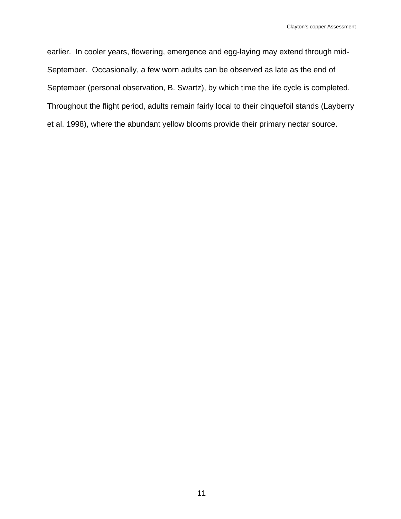earlier. In cooler years, flowering, emergence and egg-laying may extend through mid-September. Occasionally, a few worn adults can be observed as late as the end of September (personal observation, B. Swartz), by which time the life cycle is completed. Throughout the flight period, adults remain fairly local to their cinquefoil stands (Layberry et al. 1998), where the abundant yellow blooms provide their primary nectar source.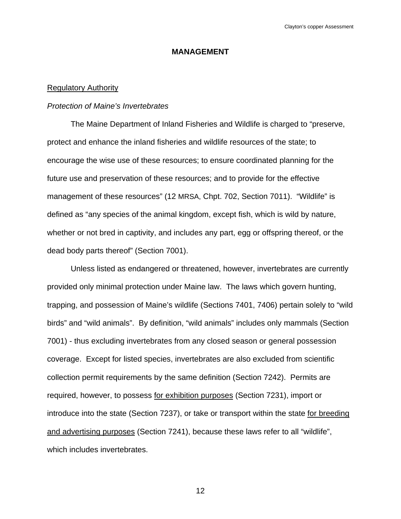# **MANAGEMENT**

# Regulatory Authority

#### *Protection of Maine's Invertebrates*

 The Maine Department of Inland Fisheries and Wildlife is charged to "preserve, protect and enhance the inland fisheries and wildlife resources of the state; to encourage the wise use of these resources; to ensure coordinated planning for the future use and preservation of these resources; and to provide for the effective management of these resources" (12 MRSA, Chpt. 702, Section 7011). "Wildlife" is defined as "any species of the animal kingdom, except fish, which is wild by nature, whether or not bred in captivity, and includes any part, egg or offspring thereof, or the dead body parts thereof" (Section 7001).

 Unless listed as endangered or threatened, however, invertebrates are currently provided only minimal protection under Maine law. The laws which govern hunting, trapping, and possession of Maine's wildlife (Sections 7401, 7406) pertain solely to "wild birds" and "wild animals". By definition, "wild animals" includes only mammals (Section 7001) - thus excluding invertebrates from any closed season or general possession coverage. Except for listed species, invertebrates are also excluded from scientific collection permit requirements by the same definition (Section 7242). Permits are required, however, to possess for exhibition purposes (Section 7231), import or introduce into the state (Section 7237), or take or transport within the state for breeding and advertising purposes (Section 7241), because these laws refer to all "wildlife", which includes invertebrates.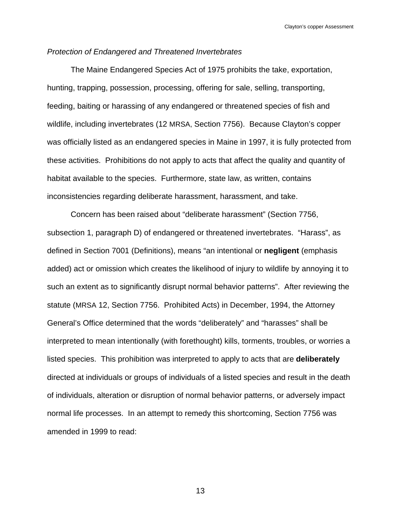# *Protection of Endangered and Threatened Invertebrates*

 The Maine Endangered Species Act of 1975 prohibits the take, exportation, hunting, trapping, possession, processing, offering for sale, selling, transporting, feeding, baiting or harassing of any endangered or threatened species of fish and wildlife, including invertebrates (12 MRSA, Section 7756). Because Clayton's copper was officially listed as an endangered species in Maine in 1997, it is fully protected from these activities. Prohibitions do not apply to acts that affect the quality and quantity of habitat available to the species. Furthermore, state law, as written, contains inconsistencies regarding deliberate harassment, harassment, and take.

 Concern has been raised about "deliberate harassment" (Section 7756, subsection 1, paragraph D) of endangered or threatened invertebrates. "Harass", as defined in Section 7001 (Definitions), means "an intentional or **negligent** (emphasis added) act or omission which creates the likelihood of injury to wildlife by annoying it to such an extent as to significantly disrupt normal behavior patterns". After reviewing the statute (MRSA 12, Section 7756. Prohibited Acts) in December, 1994, the Attorney General's Office determined that the words "deliberately" and "harasses" shall be interpreted to mean intentionally (with forethought) kills, torments, troubles, or worries a listed species. This prohibition was interpreted to apply to acts that are **deliberately** directed at individuals or groups of individuals of a listed species and result in the death of individuals, alteration or disruption of normal behavior patterns, or adversely impact normal life processes. In an attempt to remedy this shortcoming, Section 7756 was amended in 1999 to read: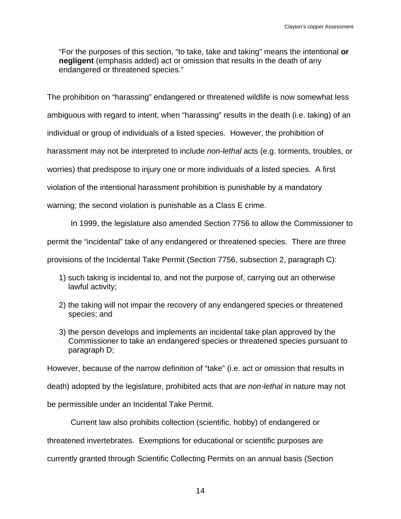"For the purposes of this section, "to take, take and taking" means the intentional **or negligent** (emphasis added) act or omission that results in the death of any endangered or threatened species."

The prohibition on "harassing" endangered or threatened wildlife is now somewhat less ambiguous with regard to intent, when "harassing" results in the death (i.e. taking) of an individual or group of individuals of a listed species. However, the prohibition of harassment may not be interpreted to include *non-lethal* acts (e.g. torments, troubles, or worries) that predispose to injury one or more individuals of a listed species. A first violation of the intentional harassment prohibition is punishable by a mandatory warning; the second violation is punishable as a Class E crime.

In 1999, the legislature also amended Section 7756 to allow the Commissioner to

permit the "incidental" take of any endangered or threatened species. There are three

provisions of the Incidental Take Permit (Section 7756, subsection 2, paragraph C):

- 1) such taking is incidental to, and not the purpose of, carrying out an otherwise lawful activity;
- 2) the taking will not impair the recovery of any endangered species or threatened species; and
- 3) the person develops and implements an incidental take plan approved by the Commissioner to take an endangered species or threatened species pursuant to paragraph D;

However, because of the narrow definition of "take" (i.e. act or omission that results in

death) adopted by the legislature, prohibited acts that are *non-lethal* in nature may not

be permissible under an Incidental Take Permit.

Current law also prohibits collection (scientific, hobby) of endangered or

threatened invertebrates. Exemptions for educational or scientific purposes are

currently granted through Scientific Collecting Permits on an annual basis (Section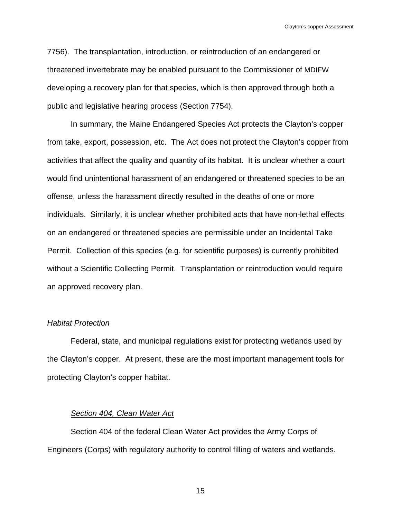7756). The transplantation, introduction, or reintroduction of an endangered or threatened invertebrate may be enabled pursuant to the Commissioner of MDIFW developing a recovery plan for that species, which is then approved through both a public and legislative hearing process (Section 7754).

 In summary, the Maine Endangered Species Act protects the Clayton's copper from take, export, possession, etc. The Act does not protect the Clayton's copper from activities that affect the quality and quantity of its habitat. It is unclear whether a court would find unintentional harassment of an endangered or threatened species to be an offense, unless the harassment directly resulted in the deaths of one or more individuals. Similarly, it is unclear whether prohibited acts that have non-lethal effects on an endangered or threatened species are permissible under an Incidental Take Permit. Collection of this species (e.g. for scientific purposes) is currently prohibited without a Scientific Collecting Permit. Transplantation or reintroduction would require an approved recovery plan.

### *Habitat Protection*

 Federal, state, and municipal regulations exist for protecting wetlands used by the Clayton's copper. At present, these are the most important management tools for protecting Clayton's copper habitat.

# *Section 404, Clean Water Act*

 Section 404 of the federal Clean Water Act provides the Army Corps of Engineers (Corps) with regulatory authority to control filling of waters and wetlands.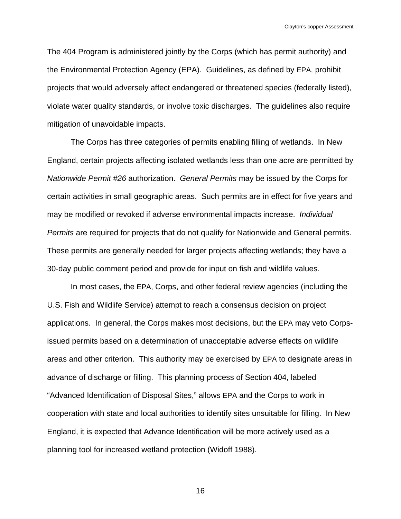The 404 Program is administered jointly by the Corps (which has permit authority) and the Environmental Protection Agency (EPA). Guidelines, as defined by EPA, prohibit projects that would adversely affect endangered or threatened species (federally listed), violate water quality standards, or involve toxic discharges. The guidelines also require mitigation of unavoidable impacts.

 The Corps has three categories of permits enabling filling of wetlands. In New England, certain projects affecting isolated wetlands less than one acre are permitted by *Nationwide Permit #26* authorization. *General Permits* may be issued by the Corps for certain activities in small geographic areas. Such permits are in effect for five years and may be modified or revoked if adverse environmental impacts increase. *Individual Permits* are required for projects that do not qualify for Nationwide and General permits. These permits are generally needed for larger projects affecting wetlands; they have a 30-day public comment period and provide for input on fish and wildlife values.

 In most cases, the EPA, Corps, and other federal review agencies (including the U.S. Fish and Wildlife Service) attempt to reach a consensus decision on project applications. In general, the Corps makes most decisions, but the EPA may veto Corpsissued permits based on a determination of unacceptable adverse effects on wildlife areas and other criterion. This authority may be exercised by EPA to designate areas in advance of discharge or filling. This planning process of Section 404, labeled "Advanced Identification of Disposal Sites," allows EPA and the Corps to work in cooperation with state and local authorities to identify sites unsuitable for filling. In New England, it is expected that Advance Identification will be more actively used as a planning tool for increased wetland protection (Widoff 1988).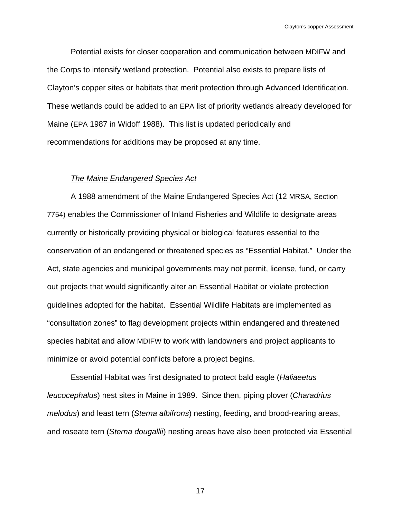Potential exists for closer cooperation and communication between MDIFW and the Corps to intensify wetland protection. Potential also exists to prepare lists of Clayton's copper sites or habitats that merit protection through Advanced Identification. These wetlands could be added to an EPA list of priority wetlands already developed for Maine (EPA 1987 in Widoff 1988). This list is updated periodically and recommendations for additions may be proposed at any time.

# *The Maine Endangered Species Act*

 A 1988 amendment of the Maine Endangered Species Act (12 MRSA, Section 7754) enables the Commissioner of Inland Fisheries and Wildlife to designate areas currently or historically providing physical or biological features essential to the conservation of an endangered or threatened species as "Essential Habitat." Under the Act, state agencies and municipal governments may not permit, license, fund, or carry out projects that would significantly alter an Essential Habitat or violate protection guidelines adopted for the habitat. Essential Wildlife Habitats are implemented as "consultation zones" to flag development projects within endangered and threatened species habitat and allow MDIFW to work with landowners and project applicants to minimize or avoid potential conflicts before a project begins.

 Essential Habitat was first designated to protect bald eagle (*Haliaeetus leucocephalus*) nest sites in Maine in 1989. Since then, piping plover (*Charadrius melodus*) and least tern (*Sterna albifrons*) nesting, feeding, and brood-rearing areas, and roseate tern (*Sterna dougallii*) nesting areas have also been protected via Essential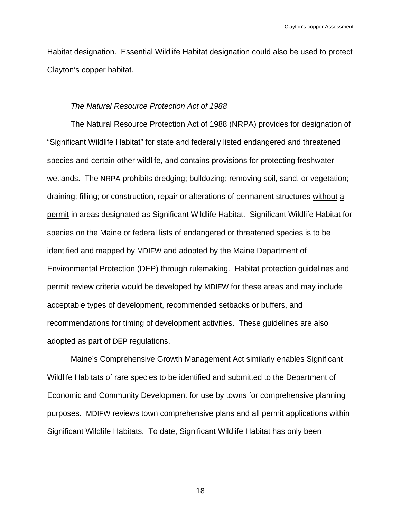Habitat designation. Essential Wildlife Habitat designation could also be used to protect Clayton's copper habitat.

#### *The Natural Resource Protection Act of 1988*

 The Natural Resource Protection Act of 1988 (NRPA) provides for designation of "Significant Wildlife Habitat" for state and federally listed endangered and threatened species and certain other wildlife, and contains provisions for protecting freshwater wetlands. The NRPA prohibits dredging; bulldozing; removing soil, sand, or vegetation; draining; filling; or construction, repair or alterations of permanent structures without a permit in areas designated as Significant Wildlife Habitat. Significant Wildlife Habitat for species on the Maine or federal lists of endangered or threatened species is to be identified and mapped by MDIFW and adopted by the Maine Department of Environmental Protection (DEP) through rulemaking. Habitat protection guidelines and permit review criteria would be developed by MDIFW for these areas and may include acceptable types of development, recommended setbacks or buffers, and recommendations for timing of development activities. These guidelines are also adopted as part of DEP regulations.

 Maine's Comprehensive Growth Management Act similarly enables Significant Wildlife Habitats of rare species to be identified and submitted to the Department of Economic and Community Development for use by towns for comprehensive planning purposes. MDIFW reviews town comprehensive plans and all permit applications within Significant Wildlife Habitats. To date, Significant Wildlife Habitat has only been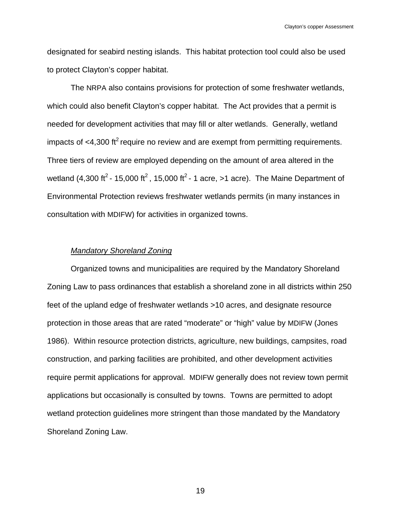designated for seabird nesting islands. This habitat protection tool could also be used to protect Clayton's copper habitat.

 The NRPA also contains provisions for protection of some freshwater wetlands, which could also benefit Clayton's copper habitat. The Act provides that a permit is needed for development activities that may fill or alter wetlands. Generally, wetland impacts of  $<$ 4,300 ft<sup>2</sup> require no review and are exempt from permitting requirements. Three tiers of review are employed depending on the amount of area altered in the wetland (4,300 ft<sup>2</sup> - 15,000 ft<sup>2</sup>, 15,000 ft<sup>2</sup> - 1 acre, >1 acre). The Maine Department of Environmental Protection reviews freshwater wetlands permits (in many instances in consultation with MDIFW) for activities in organized towns.

### *Mandatory Shoreland Zoning*

 Organized towns and municipalities are required by the Mandatory Shoreland Zoning Law to pass ordinances that establish a shoreland zone in all districts within 250 feet of the upland edge of freshwater wetlands >10 acres, and designate resource protection in those areas that are rated "moderate" or "high" value by MDIFW (Jones 1986). Within resource protection districts, agriculture, new buildings, campsites, road construction, and parking facilities are prohibited, and other development activities require permit applications for approval. MDIFW generally does not review town permit applications but occasionally is consulted by towns. Towns are permitted to adopt wetland protection guidelines more stringent than those mandated by the Mandatory Shoreland Zoning Law.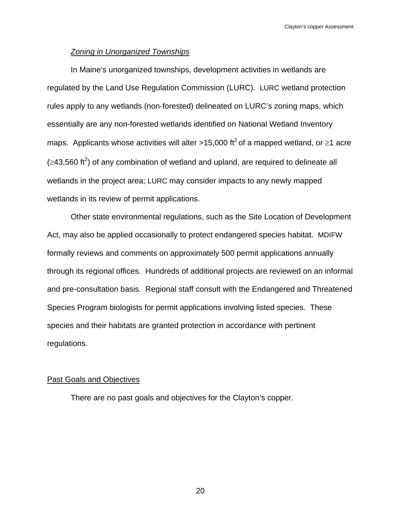# *Zoning in Unorganized Townships*

 In Maine's unorganized townships, development activities in wetlands are regulated by the Land Use Regulation Commission (LURC). LURC wetland protection rules apply to any wetlands (non-forested) delineated on LURC's zoning maps, which essentially are any non-forested wetlands identified on National Wetland Inventory maps. Applicants whose activities will alter >15,000 ft<sup>2</sup> of a mapped wetland, or  $\geq$ 1 acre  $(\geq$ 43,560 ft<sup>2</sup>) of any combination of wetland and upland, are required to delineate all wetlands in the project area; LURC may consider impacts to any newly mapped wetlands in its review of permit applications.

 Other state environmental regulations, such as the Site Location of Development Act, may also be applied occasionally to protect endangered species habitat. MDIFW formally reviews and comments on approximately 500 permit applications annually through its regional offices. Hundreds of additional projects are reviewed on an informal and pre-consultation basis. Regional staff consult with the Endangered and Threatened Species Program biologists for permit applications involving listed species. These species and their habitats are granted protection in accordance with pertinent regulations.

# Past Goals and Objectives

There are no past goals and objectives for the Clayton's copper.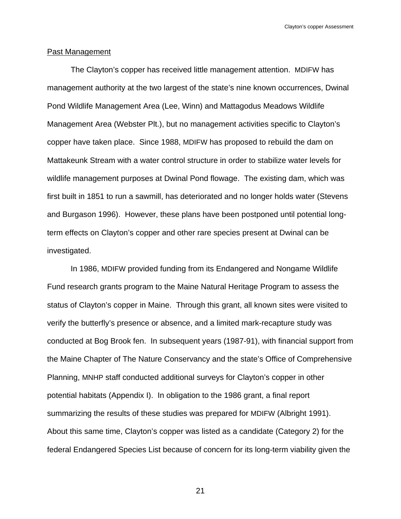# Past Management

 The Clayton's copper has received little management attention. MDIFW has management authority at the two largest of the state's nine known occurrences, Dwinal Pond Wildlife Management Area (Lee, Winn) and Mattagodus Meadows Wildlife Management Area (Webster Plt.), but no management activities specific to Clayton's copper have taken place. Since 1988, MDIFW has proposed to rebuild the dam on Mattakeunk Stream with a water control structure in order to stabilize water levels for wildlife management purposes at Dwinal Pond flowage. The existing dam, which was first built in 1851 to run a sawmill, has deteriorated and no longer holds water (Stevens and Burgason 1996). However, these plans have been postponed until potential longterm effects on Clayton's copper and other rare species present at Dwinal can be investigated.

 In 1986, MDIFW provided funding from its Endangered and Nongame Wildlife Fund research grants program to the Maine Natural Heritage Program to assess the status of Clayton's copper in Maine. Through this grant, all known sites were visited to verify the butterfly's presence or absence, and a limited mark-recapture study was conducted at Bog Brook fen. In subsequent years (1987-91), with financial support from the Maine Chapter of The Nature Conservancy and the state's Office of Comprehensive Planning, MNHP staff conducted additional surveys for Clayton's copper in other potential habitats (Appendix I). In obligation to the 1986 grant, a final report summarizing the results of these studies was prepared for MDIFW (Albright 1991). About this same time, Clayton's copper was listed as a candidate (Category 2) for the federal Endangered Species List because of concern for its long-term viability given the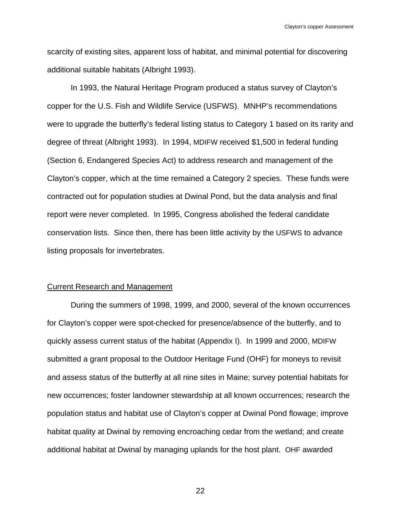scarcity of existing sites, apparent loss of habitat, and minimal potential for discovering additional suitable habitats (Albright 1993).

 In 1993, the Natural Heritage Program produced a status survey of Clayton's copper for the U.S. Fish and Wildlife Service (USFWS). MNHP's recommendations were to upgrade the butterfly's federal listing status to Category 1 based on its rarity and degree of threat (Albright 1993). In 1994, MDIFW received \$1,500 in federal funding (Section 6, Endangered Species Act) to address research and management of the Clayton's copper, which at the time remained a Category 2 species. These funds were contracted out for population studies at Dwinal Pond, but the data analysis and final report were never completed. In 1995, Congress abolished the federal candidate conservation lists. Since then, there has been little activity by the USFWS to advance listing proposals for invertebrates.

#### Current Research and Management

 During the summers of 1998, 1999, and 2000, several of the known occurrences for Clayton's copper were spot-checked for presence/absence of the butterfly, and to quickly assess current status of the habitat (Appendix I). In 1999 and 2000, MDIFW submitted a grant proposal to the Outdoor Heritage Fund (OHF) for moneys to revisit and assess status of the butterfly at all nine sites in Maine; survey potential habitats for new occurrences; foster landowner stewardship at all known occurrences; research the population status and habitat use of Clayton's copper at Dwinal Pond flowage; improve habitat quality at Dwinal by removing encroaching cedar from the wetland; and create additional habitat at Dwinal by managing uplands for the host plant. OHF awarded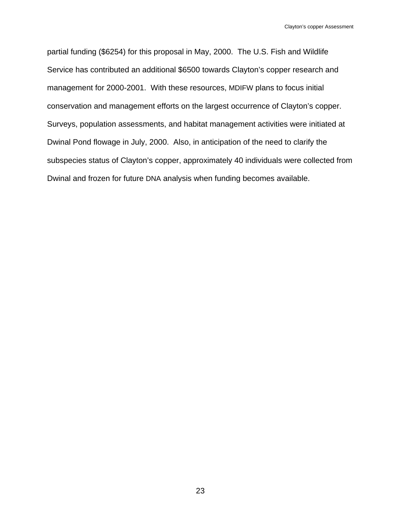partial funding (\$6254) for this proposal in May, 2000. The U.S. Fish and Wildlife Service has contributed an additional \$6500 towards Clayton's copper research and management for 2000-2001. With these resources, MDIFW plans to focus initial conservation and management efforts on the largest occurrence of Clayton's copper. Surveys, population assessments, and habitat management activities were initiated at Dwinal Pond flowage in July, 2000. Also, in anticipation of the need to clarify the subspecies status of Clayton's copper, approximately 40 individuals were collected from Dwinal and frozen for future DNA analysis when funding becomes available.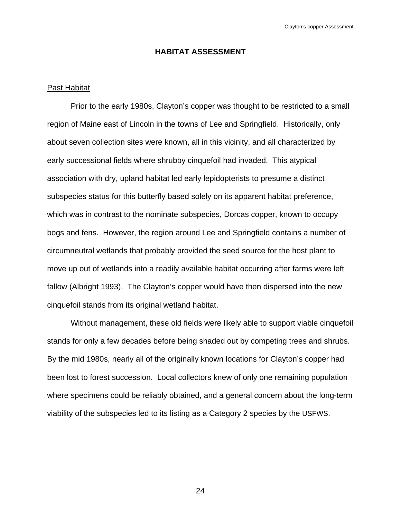# **HABITAT ASSESSMENT**

# Past Habitat

 Prior to the early 1980s, Clayton's copper was thought to be restricted to a small region of Maine east of Lincoln in the towns of Lee and Springfield. Historically, only about seven collection sites were known, all in this vicinity, and all characterized by early successional fields where shrubby cinquefoil had invaded. This atypical association with dry, upland habitat led early lepidopterists to presume a distinct subspecies status for this butterfly based solely on its apparent habitat preference, which was in contrast to the nominate subspecies, Dorcas copper, known to occupy bogs and fens. However, the region around Lee and Springfield contains a number of circumneutral wetlands that probably provided the seed source for the host plant to move up out of wetlands into a readily available habitat occurring after farms were left fallow (Albright 1993). The Clayton's copper would have then dispersed into the new cinquefoil stands from its original wetland habitat.

 Without management, these old fields were likely able to support viable cinquefoil stands for only a few decades before being shaded out by competing trees and shrubs. By the mid 1980s, nearly all of the originally known locations for Clayton's copper had been lost to forest succession. Local collectors knew of only one remaining population where specimens could be reliably obtained, and a general concern about the long-term viability of the subspecies led to its listing as a Category 2 species by the USFWS.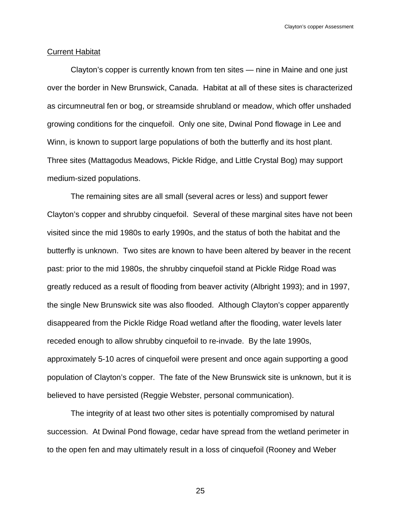#### Current Habitat

 Clayton's copper is currently known from ten sites — nine in Maine and one just over the border in New Brunswick, Canada. Habitat at all of these sites is characterized as circumneutral fen or bog, or streamside shrubland or meadow, which offer unshaded growing conditions for the cinquefoil. Only one site, Dwinal Pond flowage in Lee and Winn, is known to support large populations of both the butterfly and its host plant. Three sites (Mattagodus Meadows, Pickle Ridge, and Little Crystal Bog) may support medium-sized populations.

 The remaining sites are all small (several acres or less) and support fewer Clayton's copper and shrubby cinquefoil. Several of these marginal sites have not been visited since the mid 1980s to early 1990s, and the status of both the habitat and the butterfly is unknown. Two sites are known to have been altered by beaver in the recent past: prior to the mid 1980s, the shrubby cinquefoil stand at Pickle Ridge Road was greatly reduced as a result of flooding from beaver activity (Albright 1993); and in 1997, the single New Brunswick site was also flooded. Although Clayton's copper apparently disappeared from the Pickle Ridge Road wetland after the flooding, water levels later receded enough to allow shrubby cinquefoil to re-invade. By the late 1990s, approximately 5-10 acres of cinquefoil were present and once again supporting a good population of Clayton's copper. The fate of the New Brunswick site is unknown, but it is believed to have persisted (Reggie Webster, personal communication).

 The integrity of at least two other sites is potentially compromised by natural succession. At Dwinal Pond flowage, cedar have spread from the wetland perimeter in to the open fen and may ultimately result in a loss of cinquefoil (Rooney and Weber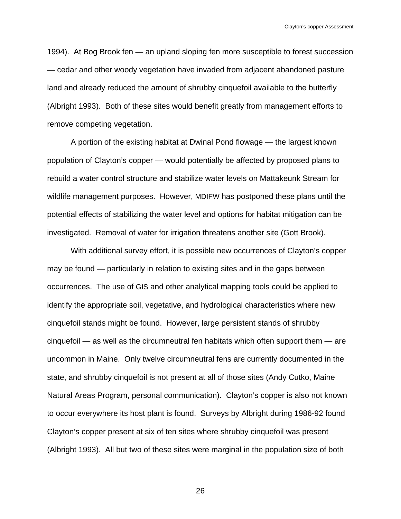1994). At Bog Brook fen — an upland sloping fen more susceptible to forest succession — cedar and other woody vegetation have invaded from adjacent abandoned pasture land and already reduced the amount of shrubby cinquefoil available to the butterfly (Albright 1993). Both of these sites would benefit greatly from management efforts to remove competing vegetation.

 A portion of the existing habitat at Dwinal Pond flowage — the largest known population of Clayton's copper — would potentially be affected by proposed plans to rebuild a water control structure and stabilize water levels on Mattakeunk Stream for wildlife management purposes. However, MDIFW has postponed these plans until the potential effects of stabilizing the water level and options for habitat mitigation can be investigated. Removal of water for irrigation threatens another site (Gott Brook).

 With additional survey effort, it is possible new occurrences of Clayton's copper may be found — particularly in relation to existing sites and in the gaps between occurrences. The use of GIS and other analytical mapping tools could be applied to identify the appropriate soil, vegetative, and hydrological characteristics where new cinquefoil stands might be found. However, large persistent stands of shrubby cinquefoil — as well as the circumneutral fen habitats which often support them — are uncommon in Maine. Only twelve circumneutral fens are currently documented in the state, and shrubby cinquefoil is not present at all of those sites (Andy Cutko, Maine Natural Areas Program, personal communication). Clayton's copper is also not known to occur everywhere its host plant is found. Surveys by Albright during 1986-92 found Clayton's copper present at six of ten sites where shrubby cinquefoil was present (Albright 1993). All but two of these sites were marginal in the population size of both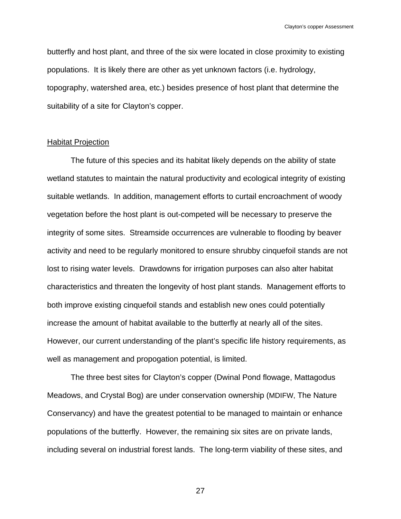butterfly and host plant, and three of the six were located in close proximity to existing populations. It is likely there are other as yet unknown factors (i.e. hydrology, topography, watershed area, etc.) besides presence of host plant that determine the suitability of a site for Clayton's copper.

### Habitat Projection

 The future of this species and its habitat likely depends on the ability of state wetland statutes to maintain the natural productivity and ecological integrity of existing suitable wetlands. In addition, management efforts to curtail encroachment of woody vegetation before the host plant is out-competed will be necessary to preserve the integrity of some sites. Streamside occurrences are vulnerable to flooding by beaver activity and need to be regularly monitored to ensure shrubby cinquefoil stands are not lost to rising water levels. Drawdowns for irrigation purposes can also alter habitat characteristics and threaten the longevity of host plant stands. Management efforts to both improve existing cinquefoil stands and establish new ones could potentially increase the amount of habitat available to the butterfly at nearly all of the sites. However, our current understanding of the plant's specific life history requirements, as well as management and propogation potential, is limited.

 The three best sites for Clayton's copper (Dwinal Pond flowage, Mattagodus Meadows, and Crystal Bog) are under conservation ownership (MDIFW, The Nature Conservancy) and have the greatest potential to be managed to maintain or enhance populations of the butterfly. However, the remaining six sites are on private lands, including several on industrial forest lands. The long-term viability of these sites, and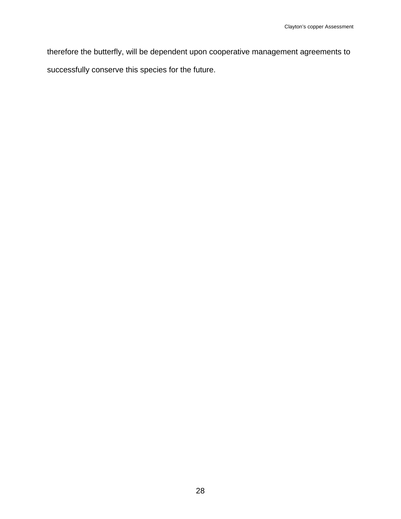therefore the butterfly, will be dependent upon cooperative management agreements to successfully conserve this species for the future.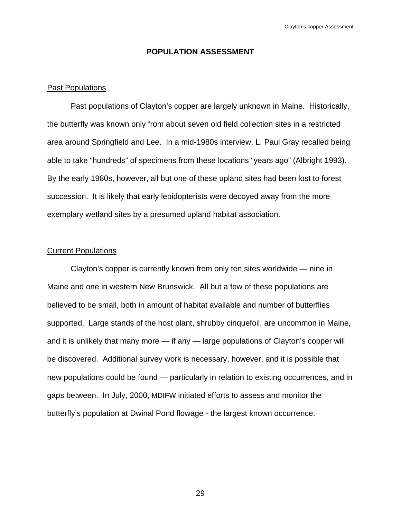# **POPULATION ASSESSMENT**

# Past Populations

 Past populations of Clayton's copper are largely unknown in Maine. Historically, the butterfly was known only from about seven old field collection sites in a restricted area around Springfield and Lee. In a mid-1980s interview, L. Paul Gray recalled being able to take "hundreds" of specimens from these locations "years ago" (Albright 1993). By the early 1980s, however, all but one of these upland sites had been lost to forest succession. It is likely that early lepidopterists were decoyed away from the more exemplary wetland sites by a presumed upland habitat association.

#### Current Populations

 Clayton's copper is currently known from only ten sites worldwide — nine in Maine and one in western New Brunswick. All but a few of these populations are believed to be small, both in amount of habitat available and number of butterflies supported. Large stands of the host plant, shrubby cinquefoil, are uncommon in Maine, and it is unlikely that many more — if any — large populations of Clayton's copper will be discovered. Additional survey work is necessary, however, and it is possible that new populations could be found — particularly in relation to existing occurrences, and in gaps between. In July, 2000, MDIFW initiated efforts to assess and monitor the butterfly's population at Dwinal Pond flowage - the largest known occurrence.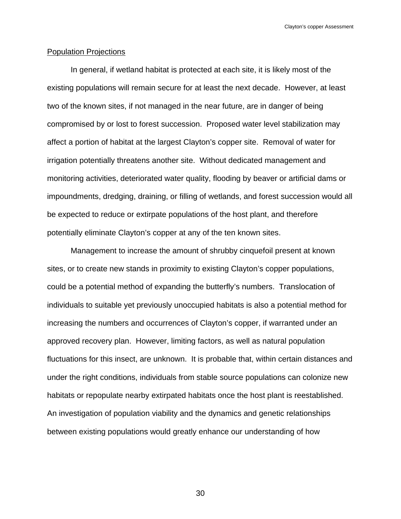# Population Projections

 In general, if wetland habitat is protected at each site, it is likely most of the existing populations will remain secure for at least the next decade. However, at least two of the known sites, if not managed in the near future, are in danger of being compromised by or lost to forest succession. Proposed water level stabilization may affect a portion of habitat at the largest Clayton's copper site. Removal of water for irrigation potentially threatens another site. Without dedicated management and monitoring activities, deteriorated water quality, flooding by beaver or artificial dams or impoundments, dredging, draining, or filling of wetlands, and forest succession would all be expected to reduce or extirpate populations of the host plant, and therefore potentially eliminate Clayton's copper at any of the ten known sites.

 Management to increase the amount of shrubby cinquefoil present at known sites, or to create new stands in proximity to existing Clayton's copper populations, could be a potential method of expanding the butterfly's numbers. Translocation of individuals to suitable yet previously unoccupied habitats is also a potential method for increasing the numbers and occurrences of Clayton's copper, if warranted under an approved recovery plan. However, limiting factors, as well as natural population fluctuations for this insect, are unknown. It is probable that, within certain distances and under the right conditions, individuals from stable source populations can colonize new habitats or repopulate nearby extirpated habitats once the host plant is reestablished. An investigation of population viability and the dynamics and genetic relationships between existing populations would greatly enhance our understanding of how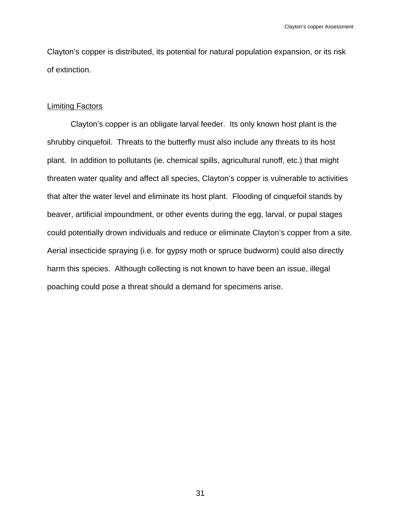Clayton's copper is distributed, its potential for natural population expansion, or its risk of extinction.

# Limiting Factors

 Clayton's copper is an obligate larval feeder. Its only known host plant is the shrubby cinquefoil. Threats to the butterfly must also include any threats to its host plant. In addition to pollutants (ie. chemical spills, agricultural runoff, etc.) that might threaten water quality and affect all species, Clayton's copper is vulnerable to activities that alter the water level and eliminate its host plant. Flooding of cinquefoil stands by beaver, artificial impoundment, or other events during the egg, larval, or pupal stages could potentially drown individuals and reduce or eliminate Clayton's copper from a site. Aerial insecticide spraying (i.e. for gypsy moth or spruce budworm) could also directly harm this species. Although collecting is not known to have been an issue, illegal poaching could pose a threat should a demand for specimens arise.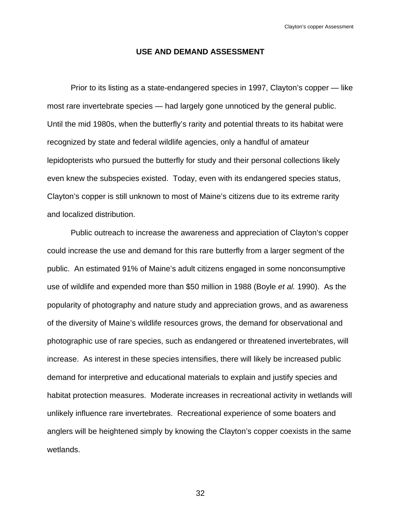# **USE AND DEMAND ASSESSMENT**

 Prior to its listing as a state-endangered species in 1997, Clayton's copper — like most rare invertebrate species — had largely gone unnoticed by the general public. Until the mid 1980s, when the butterfly's rarity and potential threats to its habitat were recognized by state and federal wildlife agencies, only a handful of amateur lepidopterists who pursued the butterfly for study and their personal collections likely even knew the subspecies existed. Today, even with its endangered species status, Clayton's copper is still unknown to most of Maine's citizens due to its extreme rarity and localized distribution.

 Public outreach to increase the awareness and appreciation of Clayton's copper could increase the use and demand for this rare butterfly from a larger segment of the public. An estimated 91% of Maine's adult citizens engaged in some nonconsumptive use of wildlife and expended more than \$50 million in 1988 (Boyle *et al.* 1990). As the popularity of photography and nature study and appreciation grows, and as awareness of the diversity of Maine's wildlife resources grows, the demand for observational and photographic use of rare species, such as endangered or threatened invertebrates, will increase. As interest in these species intensifies, there will likely be increased public demand for interpretive and educational materials to explain and justify species and habitat protection measures. Moderate increases in recreational activity in wetlands will unlikely influence rare invertebrates. Recreational experience of some boaters and anglers will be heightened simply by knowing the Clayton's copper coexists in the same wetlands.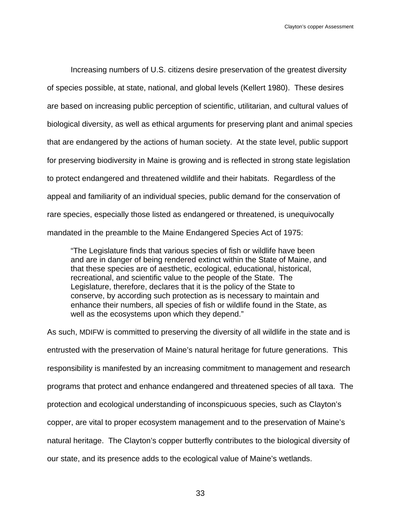Increasing numbers of U.S. citizens desire preservation of the greatest diversity of species possible, at state, national, and global levels (Kellert 1980). These desires are based on increasing public perception of scientific, utilitarian, and cultural values of biological diversity, as well as ethical arguments for preserving plant and animal species that are endangered by the actions of human society. At the state level, public support for preserving biodiversity in Maine is growing and is reflected in strong state legislation to protect endangered and threatened wildlife and their habitats. Regardless of the appeal and familiarity of an individual species, public demand for the conservation of rare species, especially those listed as endangered or threatened, is unequivocally mandated in the preamble to the Maine Endangered Species Act of 1975:

"The Legislature finds that various species of fish or wildlife have been and are in danger of being rendered extinct within the State of Maine, and that these species are of aesthetic, ecological, educational, historical, recreational, and scientific value to the people of the State. The Legislature, therefore, declares that it is the policy of the State to conserve, by according such protection as is necessary to maintain and enhance their numbers, all species of fish or wildlife found in the State, as well as the ecosystems upon which they depend."

As such, MDIFW is committed to preserving the diversity of all wildlife in the state and is entrusted with the preservation of Maine's natural heritage for future generations. This responsibility is manifested by an increasing commitment to management and research programs that protect and enhance endangered and threatened species of all taxa. The protection and ecological understanding of inconspicuous species, such as Clayton's copper, are vital to proper ecosystem management and to the preservation of Maine's natural heritage. The Clayton's copper butterfly contributes to the biological diversity of our state, and its presence adds to the ecological value of Maine's wetlands.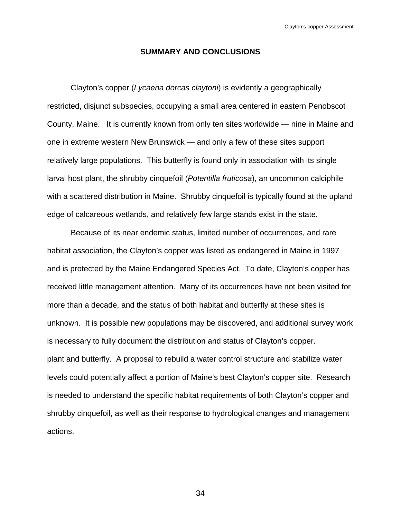### **SUMMARY AND CONCLUSIONS**

 Clayton's copper (*Lycaena dorcas claytoni*) is evidently a geographically restricted, disjunct subspecies, occupying a small area centered in eastern Penobscot County, Maine. It is currently known from only ten sites worldwide — nine in Maine and one in extreme western New Brunswick — and only a few of these sites support relatively large populations. This butterfly is found only in association with its single larval host plant, the shrubby cinquefoil (*Potentilla fruticosa*), an uncommon calciphile with a scattered distribution in Maine. Shrubby cinquefoil is typically found at the upland edge of calcareous wetlands, and relatively few large stands exist in the state.

 Because of its near endemic status, limited number of occurrences, and rare habitat association, the Clayton's copper was listed as endangered in Maine in 1997 and is protected by the Maine Endangered Species Act. To date, Clayton's copper has received little management attention. Many of its occurrences have not been visited for more than a decade, and the status of both habitat and butterfly at these sites is unknown. It is possible new populations may be discovered, and additional survey work is necessary to fully document the distribution and status of Clayton's copper. plant and butterfly. A proposal to rebuild a water control structure and stabilize water levels could potentially affect a portion of Maine's best Clayton's copper site. Research is needed to understand the specific habitat requirements of both Clayton's copper and shrubby cinquefoil, as well as their response to hydrological changes and management actions.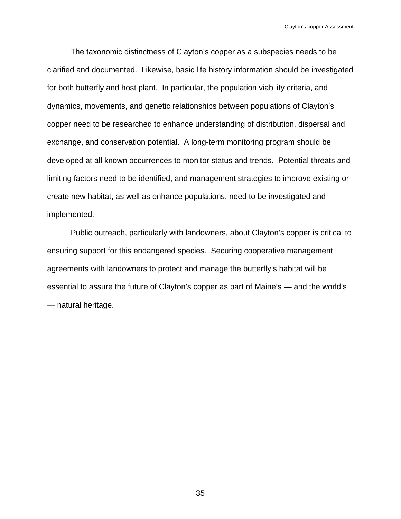The taxonomic distinctness of Clayton's copper as a subspecies needs to be clarified and documented. Likewise, basic life history information should be investigated for both butterfly and host plant. In particular, the population viability criteria, and dynamics, movements, and genetic relationships between populations of Clayton's copper need to be researched to enhance understanding of distribution, dispersal and exchange, and conservation potential. A long-term monitoring program should be developed at all known occurrences to monitor status and trends. Potential threats and limiting factors need to be identified, and management strategies to improve existing or create new habitat, as well as enhance populations, need to be investigated and implemented.

 Public outreach, particularly with landowners, about Clayton's copper is critical to ensuring support for this endangered species. Securing cooperative management agreements with landowners to protect and manage the butterfly's habitat will be essential to assure the future of Clayton's copper as part of Maine's — and the world's — natural heritage.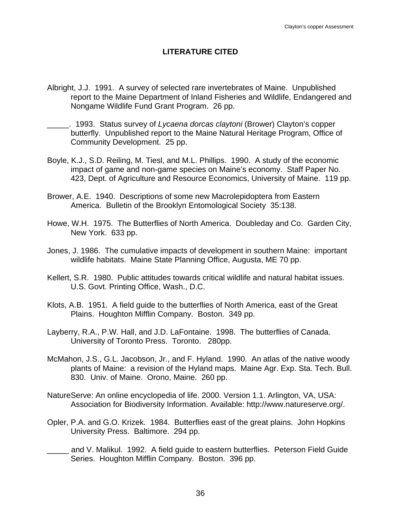# **LITERATURE CITED**

- Albright, J.J. 1991. A survey of selected rare invertebrates of Maine. Unpublished report to the Maine Department of Inland Fisheries and Wildlife, Endangered and Nongame Wildlife Fund Grant Program. 26 pp.
- \_\_\_\_\_. 1993. Status survey of *Lycaena dorcas claytoni* (Brower) Clayton's copper butterfly. Unpublished report to the Maine Natural Heritage Program, Office of Community Development. 25 pp.
- Boyle, K.J., S.D. Reiling, M. Tiesl, and M.L. Phillips. 1990. A study of the economic impact of game and non-game species on Maine's economy. Staff Paper No. 423, Dept. of Agriculture and Resource Economics, University of Maine. 119 pp.
- Brower, A.E. 1940. Descriptions of some new Macrolepidoptera from Eastern America. Bulletin of the Brooklyn Entomological Society 35:138.
- Howe, W.H. 1975. The Butterflies of North America. Doubleday and Co. Garden City, New York. 633 pp.
- Jones, J. 1986. The cumulative impacts of development in southern Maine: important wildlife habitats. Maine State Planning Office, Augusta, ME 70 pp.
- Kellert, S.R. 1980. Public attitudes towards critical wildlife and natural habitat issues. U.S. Govt. Printing Office, Wash., D.C.
- Klots, A.B. 1951. A field guide to the butterflies of North America, east of the Great Plains. Houghton Mifflin Company. Boston. 349 pp.
- Layberry, R.A., P.W. Hall, and J.D. LaFontaine. 1998. The butterflies of Canada. University of Toronto Press. Toronto. 280pp.
- McMahon, J.S., G.L. Jacobson, Jr., and F. Hyland. 1990. An atlas of the native woody plants of Maine: a revision of the Hyland maps. Maine Agr. Exp. Sta. Tech. Bull. 830. Univ. of Maine. Orono, Maine. 260 pp.
- NatureServe: An online encyclopedia of life. 2000. Version 1.1. Arlington, VA, USA: Association for Biodiversity Information. Available: http://www.natureserve.org/.
- Opler, P.A. and G.O. Krizek. 1984. Butterflies east of the great plains. John Hopkins University Press. Baltimore. 294 pp.
- and V. Malikul. 1992. A field guide to eastern butterflies. Peterson Field Guide Series. Houghton Mifflin Company. Boston. 396 pp.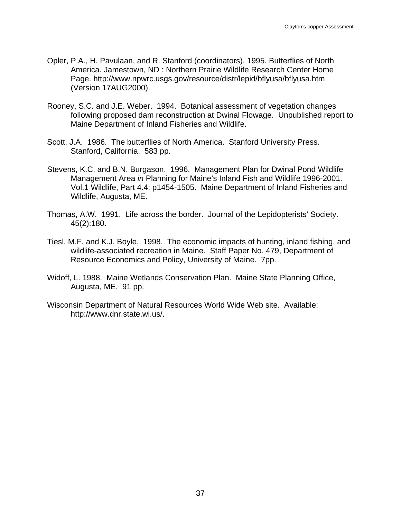- Opler, P.A., H. Pavulaan, and R. Stanford (coordinators). 1995. Butterflies of North America. Jamestown, ND : Northern Prairie Wildlife Research Center Home Page. http://www.npwrc.usgs.gov/resource/distr/lepid/bflyusa/bflyusa.htm (Version 17AUG2000).
- Rooney, S.C. and J.E. Weber. 1994. Botanical assessment of vegetation changes following proposed dam reconstruction at Dwinal Flowage. Unpublished report to Maine Department of Inland Fisheries and Wildlife.
- Scott, J.A. 1986. The butterflies of North America. Stanford University Press. Stanford, California. 583 pp.
- Stevens, K.C. and B.N. Burgason. 1996. Management Plan for Dwinal Pond Wildlife Management Area *in* Planning for Maine's Inland Fish and Wildlife 1996-2001. Vol.1 Wildlife, Part 4.4: p1454-1505. Maine Department of Inland Fisheries and Wildlife, Augusta, ME.
- Thomas, A.W. 1991. Life across the border. Journal of the Lepidopterists' Society. 45(2):180.
- Tiesl, M.F. and K.J. Boyle. 1998. The economic impacts of hunting, inland fishing, and wildlife-associated recreation in Maine. Staff Paper No. 479, Department of Resource Economics and Policy, University of Maine. 7pp.
- Widoff, L. 1988. Maine Wetlands Conservation Plan. Maine State Planning Office, Augusta, ME. 91 pp.
- Wisconsin Department of Natural Resources World Wide Web site. Available: http://www.dnr.state.wi.us/.